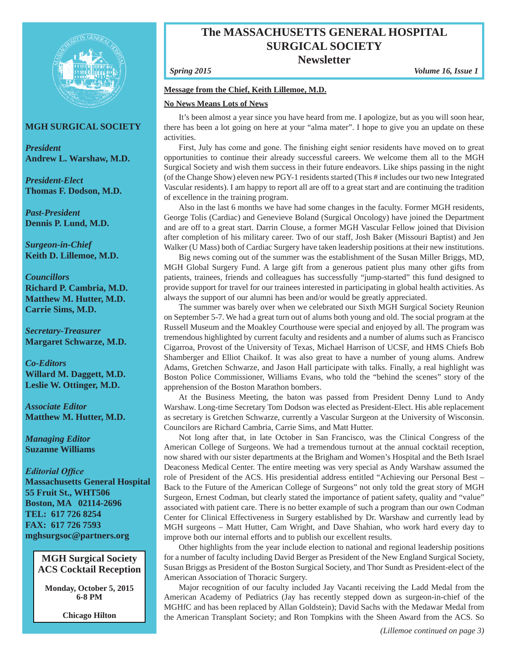

## **MGH SURGICAL SOCIETY**

*President* **Andrew L. Warshaw, M.D.**

*President-Elect* **Thomas F. Dodson, M.D.**

*Past-President* **Dennis P. Lund, M.D.**

*Surgeon-in-Chief* **Keith D. Lillemoe, M.D.**

*Councillors* **Richard P. Cambria, M.D. Matthew M. Hutter, M.D. Carrie Sims, M.D.**

*Secretary-Treasurer* **Margaret Schwarze, M.D.**

*Co-Editors* **Willard M. Daggett, M.D. Leslie W. Ottinger, M.D.**

*Associate Editor* **Matthew M. Hutter, M.D.**

*Managing Editor* **Suzanne Williams** 

*Editorial Office*

**Massachusetts General Hospital 55 Fruit St., WHT506 Boston, MA 02114-2696 TEL: 617 726 8254 FAX: 617 726 7593 mghsurgsoc@partners.org**

**MGH Surgical Society ACS Cocktail Reception**

**Monday, October 5, 2015 6-8 PM**

**Chicago Hilton**

# **The MASSACHUSETTS GENERAL HOSPITAL SURGICAL SOCIETY**

**Newsletter**

*Spring 2015 Volume 16, Issue 1*

#### **Message from the Chief, Keith Lillemoe, M.D.**

#### **No News Means Lots of News**

It's been almost a year since you have heard from me. I apologize, but as you will soon hear, there has been a lot going on here at your "alma mater". I hope to give you an update on these activities.

First, July has come and gone. The finishing eight senior residents have moved on to great opportunities to continue their already successful careers. We welcome them all to the MGH Surgical Society and wish them success in their future endeavors. Like ships passing in the night (of the Change Show) eleven new PGY-1 residents started (This # includes our two new Integrated Vascular residents). I am happy to report all are off to a great start and are continuing the tradition of excellence in the training program.

Also in the last 6 months we have had some changes in the faculty. Former MGH residents, George Tolis (Cardiac) and Genevieve Boland (Surgical Oncology) have joined the Department and are off to a great start. Darrin Clouse, a former MGH Vascular Fellow joined that Division after completion of his military career. Two of our staff, Josh Baker (Missouri Baptist) and Jen Walker (U Mass) both of Cardiac Surgery have taken leadership positions at their new institutions.

Big news coming out of the summer was the establishment of the Susan Miller Briggs, MD, MGH Global Surgery Fund. A large gift from a generous patient plus many other gifts from patients, trainees, friends and colleagues has successfully "jump-started" this fund designed to provide support for travel for our trainees interested in participating in global health activities. As always the support of our alumni has been and/or would be greatly appreciated.

The summer was barely over when we celebrated our Sixth MGH Surgical Society Reunion on September 5-7. We had a great turn out of alums both young and old. The social program at the Russell Museum and the Moakley Courthouse were special and enjoyed by all. The program was tremendous highlighted by current faculty and residents and a number of alums such as Francisco Cigarroa, Provost of the University of Texas, Michael Harrison of UCSF, and HMS Chiefs Bob Shamberger and Elliot Chaikof. It was also great to have a number of young alums. Andrew Adams, Gretchen Schwarze, and Jason Hall participate with talks. Finally, a real highlight was Boston Police Commissioner, Williams Evans, who told the "behind the scenes" story of the apprehension of the Boston Marathon bombers.

At the Business Meeting, the baton was passed from President Denny Lund to Andy Warshaw. Long-time Secretary Tom Dodson was elected as President-Elect. His able replacement as secretary is Gretchen Schwarze, currently a Vascular Surgeon at the University of Wisconsin. Councilors are Richard Cambria, Carrie Sims, and Matt Hutter.

Not long after that, in late October in San Francisco, was the Clinical Congress of the American College of Surgeons. We had a tremendous turnout at the annual cocktail reception, now shared with our sister departments at the Brigham and Women's Hospital and the Beth Israel Deaconess Medical Center. The entire meeting was very special as Andy Warshaw assumed the role of President of the ACS. His presidential address entitled "Achieving our Personal Best – Back to the Future of the American College of Surgeons" not only told the great story of MGH Surgeon, Ernest Codman, but clearly stated the importance of patient safety, quality and "value" associated with patient care. There is no better example of such a program than our own Codman Center for Clinical Effectiveness in Surgery established by Dr. Warshaw and currently lead by MGH surgeons – Matt Hutter, Cam Wright, and Dave Shahian, who work hard every day to improve both our internal efforts and to publish our excellent results.

Other highlights from the year include election to national and regional leadership positions for a number of faculty including David Berger as President of the New England Surgical Society, Susan Briggs as President of the Boston Surgical Society, and Thor Sundt as President-elect of the American Association of Thoracic Surgery.

Major recognition of our faculty included Jay Vacanti receiving the Ladd Medal from the American Academy of Pediatrics (Jay has recently stepped down as surgeon-in-chief of the MGHfC and has been replaced by Allan Goldstein); David Sachs with the Medawar Medal from the American Transplant Society; and Ron Tompkins with the Sheen Award from the ACS. So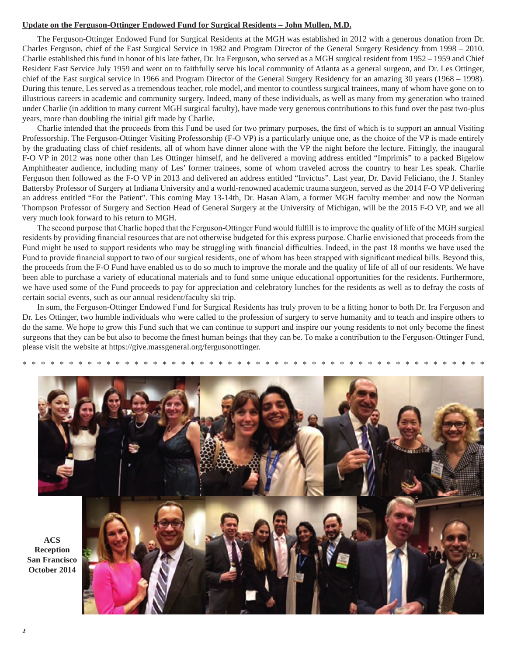#### **Update on the Ferguson-Ottinger Endowed Fund for Surgical Residents – John Mullen, M.D.**

The Ferguson-Ottinger Endowed Fund for Surgical Residents at the MGH was established in 2012 with a generous donation from Dr. Charles Ferguson, chief of the East Surgical Service in 1982 and Program Director of the General Surgery Residency from 1998 – 2010. Charlie established this fund in honor of his late father, Dr. Ira Ferguson, who served as a MGH surgical resident from 1952 – 1959 and Chief Resident East Service July 1959 and went on to faithfully serve his local community of Atlanta as a general surgeon, and Dr. Les Ottinger, chief of the East surgical service in 1966 and Program Director of the General Surgery Residency for an amazing 30 years (1968 – 1998). During this tenure, Les served as a tremendous teacher, role model, and mentor to countless surgical trainees, many of whom have gone on to illustrious careers in academic and community surgery. Indeed, many of these individuals, as well as many from my generation who trained under Charlie (in addition to many current MGH surgical faculty), have made very generous contributions to this fund over the past two-plus years, more than doubling the initial gift made by Charlie.

Charlie intended that the proceeds from this Fund be used for two primary purposes, the first of which is to support an annual Visiting Professorship. The Ferguson-Ottinger Visiting Professorship (F-O VP) is a particularly unique one, as the choice of the VP is made entirely by the graduating class of chief residents, all of whom have dinner alone with the VP the night before the lecture. Fittingly, the inaugural F-O VP in 2012 was none other than Les Ottinger himself, and he delivered a moving address entitled "Imprimis" to a packed Bigelow Amphitheater audience, including many of Les' former trainees, some of whom traveled across the country to hear Les speak. Charlie Ferguson then followed as the F-O VP in 2013 and delivered an address entitled "Invictus". Last year, Dr. David Feliciano, the J. Stanley Battersby Professor of Surgery at Indiana University and a world-renowned academic trauma surgeon, served as the 2014 F-O VP delivering an address entitled "For the Patient". This coming May 13-14th, Dr. Hasan Alam, a former MGH faculty member and now the Norman Thompson Professor of Surgery and Section Head of General Surgery at the University of Michigan, will be the 2015 F-O VP, and we all very much look forward to his return to MGH.

The second purpose that Charlie hoped that the Ferguson-Ottinger Fund would fulfill is to improve the quality of life of the MGH surgical residents by providing financial resources that are not otherwise budgeted for this express purpose. Charlie envisioned that proceeds from the Fund might be used to support residents who may be struggling with financial difficulties. Indeed, in the past 18 months we have used the Fund to provide financial support to two of our surgical residents, one of whom has been strapped with significant medical bills. Beyond this, the proceeds from the F-O Fund have enabled us to do so much to improve the morale and the quality of life of all of our residents. We have been able to purchase a variety of educational materials and to fund some unique educational opportunities for the residents. Furthermore, we have used some of the Fund proceeds to pay for appreciation and celebratory lunches for the residents as well as to defray the costs of certain social events, such as our annual resident/faculty ski trip.

In sum, the Ferguson-Ottinger Endowed Fund for Surgical Residents has truly proven to be a fitting honor to both Dr. Ira Ferguson and Dr. Les Ottinger, two humble individuals who were called to the profession of surgery to serve humanity and to teach and inspire others to do the same. We hope to grow this Fund such that we can continue to support and inspire our young residents to not only become the finest surgeons that they can be but also to become the finest human beings that they can be. To make a contribution to the Ferguson-Ottinger Fund, please visit the website at https://give.massgeneral.org/fergusonottinger.



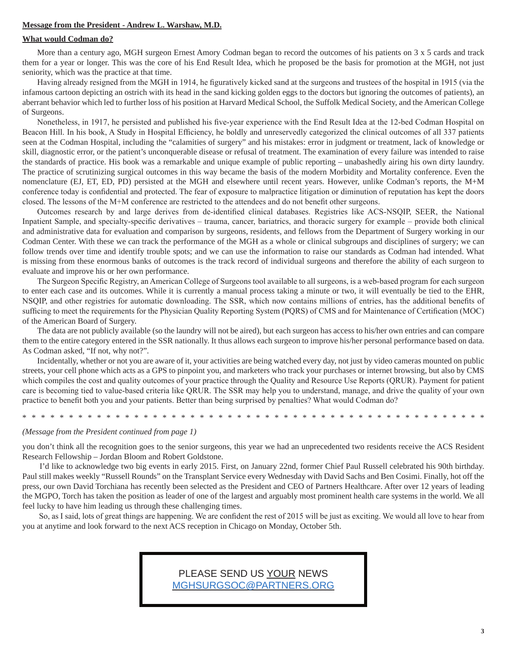#### **Message from the President - Andrew L. Warshaw, M.D.**

#### **What would Codman do?**

More than a century ago, MGH surgeon Ernest Amory Codman began to record the outcomes of his patients on 3 x 5 cards and track them for a year or longer. This was the core of his End Result Idea, which he proposed be the basis for promotion at the MGH, not just seniority, which was the practice at that time.

Having already resigned from the MGH in 1914, he figuratively kicked sand at the surgeons and trustees of the hospital in 1915 (via the infamous cartoon depicting an ostrich with its head in the sand kicking golden eggs to the doctors but ignoring the outcomes of patients), an aberrant behavior which led to further loss of his position at Harvard Medical School, the Suffolk Medical Society, and the American College of Surgeons.

Nonetheless, in 1917, he persisted and published his five-year experience with the End Result Idea at the 12-bed Codman Hospital on Beacon Hill. In his book, A Study in Hospital Efficiency, he boldly and unreservedly categorized the clinical outcomes of all 337 patients seen at the Codman Hospital, including the "calamities of surgery" and his mistakes: error in judgment or treatment, lack of knowledge or skill, diagnostic error, or the patient's unconquerable disease or refusal of treatment. The examination of every failure was intended to raise the standards of practice. His book was a remarkable and unique example of public reporting – unabashedly airing his own dirty laundry. The practice of scrutinizing surgical outcomes in this way became the basis of the modern Morbidity and Mortality conference. Even the nomenclature (EJ, ET, ED, PD) persisted at the MGH and elsewhere until recent years. However, unlike Codman's reports, the M+M conference today is confidential and protected. The fear of exposure to malpractice litigation or diminution of reputation has kept the doors closed. The lessons of the M+M conference are restricted to the attendees and do not benefit other surgeons.

Outcomes research by and large derives from de-identified clinical databases. Registries like ACS-NSQIP, SEER, the National Inpatient Sample, and specialty-specific derivatives – trauma, cancer, bariatrics, and thoracic surgery for example – provide both clinical and administrative data for evaluation and comparison by surgeons, residents, and fellows from the Department of Surgery working in our Codman Center. With these we can track the performance of the MGH as a whole or clinical subgroups and disciplines of surgery; we can follow trends over time and identify trouble spots; and we can use the information to raise our standards as Codman had intended. What is missing from these enormous banks of outcomes is the track record of individual surgeons and therefore the ability of each surgeon to evaluate and improve his or her own performance.

The Surgeon Specific Registry, an American College of Surgeons tool available to all surgeons, is a web-based program for each surgeon to enter each case and its outcomes. While it is currently a manual process taking a minute or two, it will eventually be tied to the EHR, NSQIP, and other registries for automatic downloading. The SSR, which now contains millions of entries, has the additional benefits of sufficing to meet the requirements for the Physician Quality Reporting System (PQRS) of CMS and for Maintenance of Certification (MOC) of the American Board of Surgery.

The data are not publicly available (so the laundry will not be aired), but each surgeon has access to his/her own entries and can compare them to the entire category entered in the SSR nationally. It thus allows each surgeon to improve his/her personal performance based on data. As Codman asked, "If not, why not?".

Incidentally, whether or not you are aware of it, your activities are being watched every day, not just by video cameras mounted on public streets, your cell phone which acts as a GPS to pinpoint you, and marketers who track your purchases or internet browsing, but also by CMS which compiles the cost and quality outcomes of your practice through the Quality and Resource Use Reports (QRUR). Payment for patient care is becoming tied to value-based criteria like QRUR. The SSR may help you to understand, manage, and drive the quality of your own practice to benefit both you and your patients. Better than being surprised by penalties? What would Codman do?

\*\*\*\*\*\*\*\*\*\*\*\*\*\*\*\*\*\*\*\*\*\*\*\*\*\*\*\*\*\*\*\*\*\*\*\*\*\*\*\*\*\*\*\*\*\*\*\*\*\*

#### *(Message from the President continued from page 1)*

you don't think all the recognition goes to the senior surgeons, this year we had an unprecedented two residents receive the ACS Resident Research Fellowship – Jordan Bloom and Robert Goldstone.

 I'd like to acknowledge two big events in early 2015. First, on January 22nd, former Chief Paul Russell celebrated his 90th birthday. Paul still makes weekly "Russell Rounds" on the Transplant Service every Wednesday with David Sachs and Ben Cosimi. Finally, hot off the press, our own David Torchiana has recently been selected as the President and CEO of Partners Healthcare. After over 12 years of leading the MGPO, Torch has taken the position as leader of one of the largest and arguably most prominent health care systems in the world. We all feel lucky to have him leading us through these challenging times.

 So, as I said, lots of great things are happening. We are confident the rest of 2015 will be just as exciting. We would all love to hear from you at anytime and look forward to the next ACS reception in Chicago on Monday, October 5th.

# PLEASE SEND US YOUR NEWS MGHSURGSOC@PARTNERS.ORG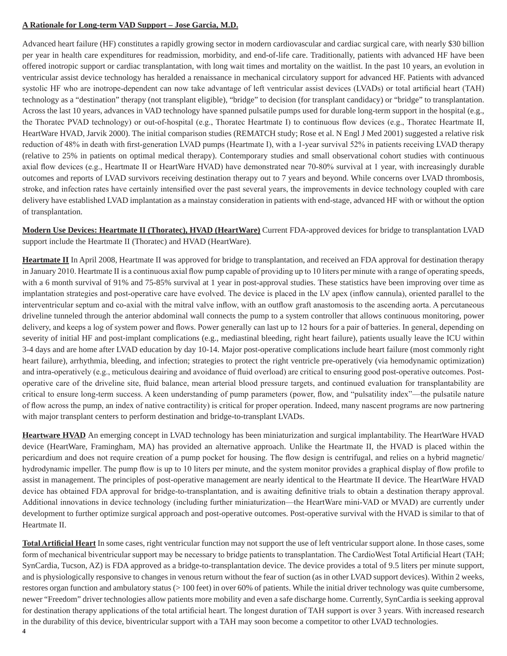## **A Rationale for Long-term VAD Support – Jose Garcia, M.D.**

Advanced heart failure (HF) constitutes a rapidly growing sector in modern cardiovascular and cardiac surgical care, with nearly \$30 billion per year in health care expenditures for readmission, morbidity, and end-of-life care. Traditionally, patients with advanced HF have been offered inotropic support or cardiac transplantation, with long wait times and mortality on the waitlist. In the past 10 years, an evolution in ventricular assist device technology has heralded a renaissance in mechanical circulatory support for advanced HF. Patients with advanced systolic HF who are inotrope-dependent can now take advantage of left ventricular assist devices (LVADs) or total artificial heart (TAH) technology as a "destination" therapy (not transplant eligible), "bridge" to decision (for transplant candidacy) or "bridge" to transplantation. Across the last 10 years, advances in VAD technology have spanned pulsatile pumps used for durable long-term support in the hospital (e.g., the Thoratec PVAD technology) or out-of-hospital (e.g., Thoratec Heartmate I) to continuous flow devices (e.g., Thoratec Heartmate II, HeartWare HVAD, Jarvik 2000). The initial comparison studies (REMATCH study; Rose et al. N Engl J Med 2001) suggested a relative risk reduction of 48% in death with first-generation LVAD pumps (Heartmate I), with a 1-year survival 52% in patients receiving LVAD therapy (relative to 25% in patients on optimal medical therapy). Contemporary studies and small observational cohort studies with continuous axial flow devices (e.g., Heartmate II or HeartWare HVAD) have demonstrated near 70-80% survival at 1 year, with increasingly durable outcomes and reports of LVAD survivors receiving destination therapy out to 7 years and beyond. While concerns over LVAD thrombosis, stroke, and infection rates have certainly intensified over the past several years, the improvements in device technology coupled with care delivery have established LVAD implantation as a mainstay consideration in patients with end-stage, advanced HF with or without the option of transplantation.

**Modern Use Devices: Heartmate II (Thoratec), HVAD (HeartWare)** Current FDA-approved devices for bridge to transplantation LVAD support include the Heartmate II (Thoratec) and HVAD (HeartWare).

**Heartmate II** In April 2008, Heartmate II was approved for bridge to transplantation, and received an FDA approval for destination therapy in January 2010. Heartmate II is a continuous axial flow pump capable of providing up to 10 liters per minute with a range of operating speeds, with a 6 month survival of 91% and 75-85% survival at 1 year in post-approval studies. These statistics have been improving over time as implantation strategies and post-operative care have evolved. The device is placed in the LV apex (inflow cannula), oriented parallel to the interventricular septum and co-axial with the mitral valve inflow, with an outflow graft anastomosis to the ascending aorta. A percutaneous driveline tunneled through the anterior abdominal wall connects the pump to a system controller that allows continuous monitoring, power delivery, and keeps a log of system power and flows. Power generally can last up to 12 hours for a pair of batteries. In general, depending on severity of initial HF and post-implant complications (e.g., mediastinal bleeding, right heart failure), patients usually leave the ICU within 3-4 days and are home after LVAD education by day 10-14. Major post-operative complications include heart failure (most commonly right heart failure), arrhythmia, bleeding, and infection; strategies to protect the right ventricle pre-operatively (via hemodynamic optimization) and intra-operatively (e.g., meticulous deairing and avoidance of fluid overload) are critical to ensuring good post-operative outcomes. Postoperative care of the driveline site, fluid balance, mean arterial blood pressure targets, and continued evaluation for transplantability are critical to ensure long-term success. A keen understanding of pump parameters (power, flow, and "pulsatility index"—the pulsatile nature of flow across the pump, an index of native contractility) is critical for proper operation. Indeed, many nascent programs are now partnering with major transplant centers to perform destination and bridge-to-transplant LVADs.

**Heartware HVAD** An emerging concept in LVAD technology has been miniaturization and surgical implantability. The HeartWare HVAD device (HeartWare, Framingham, MA) has provided an alternative approach. Unlike the Heartmate II, the HVAD is placed within the pericardium and does not require creation of a pump pocket for housing. The flow design is centrifugal, and relies on a hybrid magnetic/ hydrodynamic impeller. The pump flow is up to 10 liters per minute, and the system monitor provides a graphical display of flow profile to assist in management. The principles of post-operative management are nearly identical to the Heartmate II device. The HeartWare HVAD device has obtained FDA approval for bridge-to-transplantation, and is awaiting definitive trials to obtain a destination therapy approval. Additional innovations in device technology (including further miniaturization—the HeartWare mini-VAD or MVAD) are currently under development to further optimize surgical approach and post-operative outcomes. Post-operative survival with the HVAD is similar to that of Heartmate II.

**Total Artificial Heart** In some cases, right ventricular function may not support the use of left ventricular support alone. In those cases, some form of mechanical biventricular support may be necessary to bridge patients to transplantation. The CardioWest Total Artificial Heart (TAH; SynCardia, Tucson, AZ) is FDA approved as a bridge-to-transplantation device. The device provides a total of 9.5 liters per minute support, and is physiologically responsive to changes in venous return without the fear of suction (as in other LVAD support devices). Within 2 weeks, restores organ function and ambulatory status (> 100 feet) in over 60% of patients. While the initial driver technology was quite cumbersome, newer "Freedom" driver technologies allow patients more mobility and even a safe discharge home. Currently, SynCardia is seeking approval for destination therapy applications of the total artificial heart. The longest duration of TAH support is over 3 years. With increased research in the durability of this device, biventricular support with a TAH may soon become a competitor to other LVAD technologies.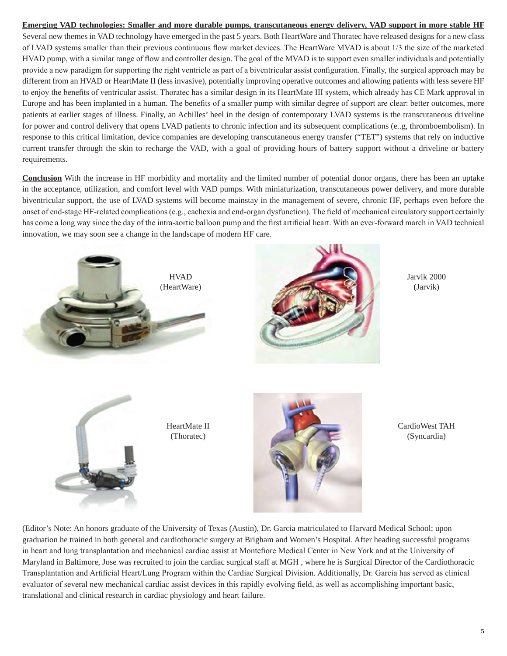## **Emerging VAD technologies: Smaller and more durable pumps, transcutaneous energy delivery, VAD support in more stable HF**

Several new themes in VAD technology have emerged in the past 5 years. Both HeartWare and Thoratec have released designs for a new class of LVAD systems smaller than their previous continuous flow market devices. The HeartWare MVAD is about 1/3 the size of the marketed HVAD pump, with a similar range of flow and controller design. The goal of the MVAD is to support even smaller individuals and potentially provide a new paradigm for supporting the right ventricle as part of a biventricular assist configuration. Finally, the surgical approach may be different from an HVAD or HeartMate II (less invasive), potentially improving operative outcomes and allowing patients with less severe HF to enjoy the benefits of ventricular assist. Thoratec has a similar design in its HeartMate III system, which already has CE Mark approval in Europe and has been implanted in a human. The benefits of a smaller pump with similar degree of support are clear: better outcomes, more patients at earlier stages of illness. Finally, an Achilles' heel in the design of contemporary LVAD systems is the transcutaneous driveline for power and control delivery that opens LVAD patients to chronic infection and its subsequent complications (e..g, thromboembolism). In response to this critical limitation, device companies are developing transcutaneous energy transfer ("TET") systems that rely on inductive current transfer through the skin to recharge the VAD, with a goal of providing hours of battery support without a driveline or battery requirements.

**Conclusion** With the increase in HF morbidity and mortality and the limited number of potential donor organs, there has been an uptake in the acceptance, utilization, and comfort level with VAD pumps. With miniaturization, transcutaneous power delivery, and more durable biventricular support, the use of LVAD systems will become mainstay in the management of severe, chronic HF, perhaps even before the onset of end-stage HF-related complications (e.g., cachexia and end-organ dysfunction). The field of mechanical circulatory support certainly has come a long way since the day of the intra-aortic balloon pump and the first artificial heart. With an ever-forward march in VAD technical innovation, we may soon see a change in the landscape of modern HF care.



(Editor's Note: An honors graduate of the University of Texas (Austin), Dr. Garcia matriculated to Harvard Medical School; upon graduation he trained in both general and cardiothoracic surgery at Brigham and Women's Hospital. After heading successful programs in heart and lung transplantation and mechanical cardiac assist at Montefiore Medical Center in New York and at the University of Maryland in Baltimore, Jose was recruited to join the cardiac surgical staff at MGH , where he is Surgical Director of the Cardiothoracic Transplantation and Artificial Heart/Lung Program within the Cardiac Surgical Division. Additionally, Dr. Garcia has served as clinical evaluator of several new mechanical cardiac assist devices in this rapidly evolving field, as well as accomplishing important basic, translational and clinical research in cardiac physiology and heart failure.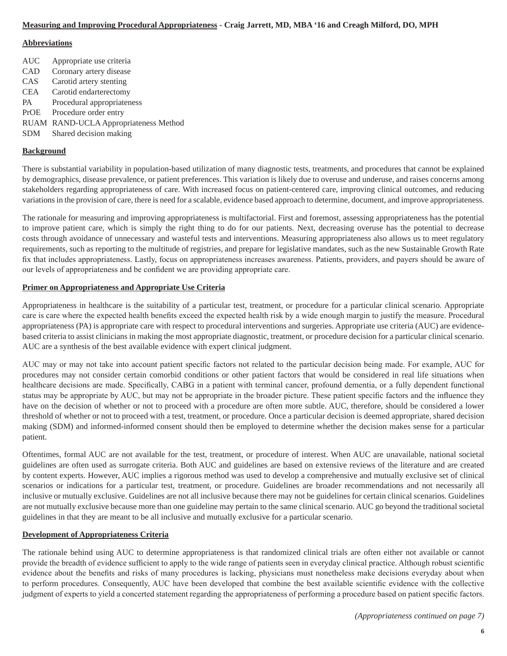## **Measuring and Improving Procedural Appropriateness - Craig Jarrett, MD, MBA '16 and Creagh Milford, DO, MPH**

#### **Abbreviations**

AUC Appropriate use criteria CAD Coronary artery disease CAS Carotid artery stenting CEA Carotid endarterectomy PA Procedural appropriateness PrOE Procedure order entry RUAM RAND-UCLA Appropriateness Method SDM Shared decision making

#### **Background**

There is substantial variability in population-based utilization of many diagnostic tests, treatments, and procedures that cannot be explained by demographics, disease prevalence, or patient preferences. This variation is likely due to overuse and underuse, and raises concerns among stakeholders regarding appropriateness of care. With increased focus on patient-centered care, improving clinical outcomes, and reducing variations in the provision of care, there is need for a scalable, evidence based approach to determine, document, and improve appropriateness.

The rationale for measuring and improving appropriateness is multifactorial. First and foremost, assessing appropriateness has the potential to improve patient care, which is simply the right thing to do for our patients. Next, decreasing overuse has the potential to decrease costs through avoidance of unnecessary and wasteful tests and interventions. Measuring appropriateness also allows us to meet regulatory requirements, such as reporting to the multitude of registries, and prepare for legislative mandates, such as the new Sustainable Growth Rate fix that includes appropriateness. Lastly, focus on appropriateness increases awareness. Patients, providers, and payers should be aware of our levels of appropriateness and be confident we are providing appropriate care.

#### **Primer on Appropriateness and Appropriate Use Criteria**

Appropriateness in healthcare is the suitability of a particular test, treatment, or procedure for a particular clinical scenario. Appropriate care is care where the expected health benefits exceed the expected health risk by a wide enough margin to justify the measure. Procedural appropriateness (PA) is appropriate care with respect to procedural interventions and surgeries. Appropriate use criteria (AUC) are evidencebased criteria to assist clinicians in making the most appropriate diagnostic, treatment, or procedure decision for a particular clinical scenario. AUC are a synthesis of the best available evidence with expert clinical judgment.

AUC may or may not take into account patient specific factors not related to the particular decision being made. For example, AUC for procedures may not consider certain comorbid conditions or other patient factors that would be considered in real life situations when healthcare decisions are made. Specifically, CABG in a patient with terminal cancer, profound dementia, or a fully dependent functional status may be appropriate by AUC, but may not be appropriate in the broader picture. These patient specific factors and the influence they have on the decision of whether or not to proceed with a procedure are often more subtle. AUC, therefore, should be considered a lower threshold of whether or not to proceed with a test, treatment, or procedure. Once a particular decision is deemed appropriate, shared decision making (SDM) and informed-informed consent should then be employed to determine whether the decision makes sense for a particular patient.

Oftentimes, formal AUC are not available for the test, treatment, or procedure of interest. When AUC are unavailable, national societal guidelines are often used as surrogate criteria. Both AUC and guidelines are based on extensive reviews of the literature and are created by content experts. However, AUC implies a rigorous method was used to develop a comprehensive and mutually exclusive set of clinical scenarios or indications for a particular test, treatment, or procedure. Guidelines are broader recommendations and not necessarily all inclusive or mutually exclusive. Guidelines are not all inclusive because there may not be guidelines for certain clinical scenarios. Guidelines are not mutually exclusive because more than one guideline may pertain to the same clinical scenario. AUC go beyond the traditional societal guidelines in that they are meant to be all inclusive and mutually exclusive for a particular scenario.

#### **Development of Appropriateness Criteria**

The rationale behind using AUC to determine appropriateness is that randomized clinical trials are often either not available or cannot provide the breadth of evidence sufficient to apply to the wide range of patients seen in everyday clinical practice. Although robust scientific evidence about the benefits and risks of many procedures is lacking, physicians must nonetheless make decisions everyday about when to perform procedures. Consequently, AUC have been developed that combine the best available scientific evidence with the collective judgment of experts to yield a concerted statement regarding the appropriateness of performing a procedure based on patient specific factors.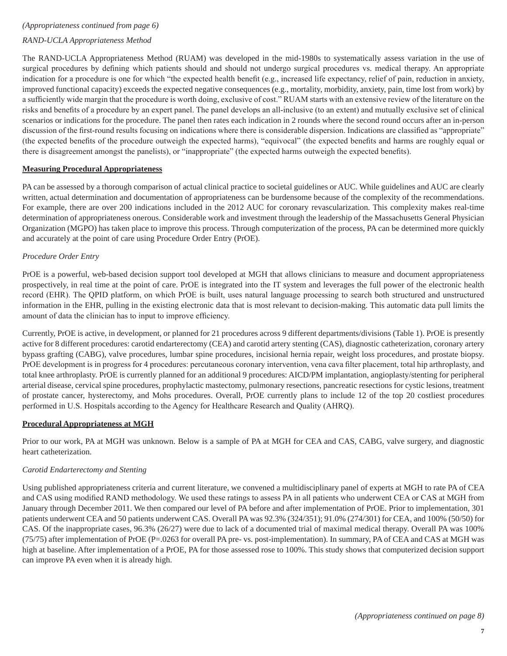#### *(Appropriateness continued from page 6)*

# *RAND-UCLA Appropriateness Method*

The RAND-UCLA Appropriateness Method (RUAM) was developed in the mid-1980s to systematically assess variation in the use of surgical procedures by defining which patients should and should not undergo surgical procedures vs. medical therapy. An appropriate indication for a procedure is one for which "the expected health benefit (e.g., increased life expectancy, relief of pain, reduction in anxiety, improved functional capacity) exceeds the expected negative consequences (e.g., mortality, morbidity, anxiety, pain, time lost from work) by a sufficiently wide margin that the procedure is worth doing, exclusive of cost." RUAM starts with an extensive review of the literature on the risks and benefits of a procedure by an expert panel. The panel develops an all-inclusive (to an extent) and mutually exclusive set of clinical scenarios or indications for the procedure. The panel then rates each indication in 2 rounds where the second round occurs after an in-person discussion of the first-round results focusing on indications where there is considerable dispersion. Indications are classified as "appropriate" (the expected benefits of the procedure outweigh the expected harms), "equivocal" (the expected benefits and harms are roughly equal or there is disagreement amongst the panelists), or "inappropriate" (the expected harms outweigh the expected benefits).

#### **Measuring Procedural Appropriateness**

PA can be assessed by a thorough comparison of actual clinical practice to societal guidelines or AUC. While guidelines and AUC are clearly written, actual determination and documentation of appropriateness can be burdensome because of the complexity of the recommendations. For example, there are over 200 indications included in the 2012 AUC for coronary revascularization. This complexity makes real-time determination of appropriateness onerous. Considerable work and investment through the leadership of the Massachusetts General Physician Organization (MGPO) has taken place to improve this process. Through computerization of the process, PA can be determined more quickly and accurately at the point of care using Procedure Order Entry (PrOE).

#### *Procedure Order Entry*

PrOE is a powerful, web-based decision support tool developed at MGH that allows clinicians to measure and document appropriateness prospectively, in real time at the point of care. PrOE is integrated into the IT system and leverages the full power of the electronic health record (EHR). The QPID platform, on which PrOE is built, uses natural language processing to search both structured and unstructured information in the EHR, pulling in the existing electronic data that is most relevant to decision-making. This automatic data pull limits the amount of data the clinician has to input to improve efficiency.

Currently, PrOE is active, in development, or planned for 21 procedures across 9 different departments/divisions (Table 1). PrOE is presently active for 8 different procedures: carotid endarterectomy (CEA) and carotid artery stenting (CAS), diagnostic catheterization, coronary artery bypass grafting (CABG), valve procedures, lumbar spine procedures, incisional hernia repair, weight loss procedures, and prostate biopsy. PrOE development is in progress for 4 procedures: percutaneous coronary intervention, vena cava filter placement, total hip arthroplasty, and total knee arthroplasty. PrOE is currently planned for an additional 9 procedures: AICD/PM implantation, angioplasty/stenting for peripheral arterial disease, cervical spine procedures, prophylactic mastectomy, pulmonary resections, pancreatic resections for cystic lesions, treatment of prostate cancer, hysterectomy, and Mohs procedures. Overall, PrOE currently plans to include 12 of the top 20 costliest procedures performed in U.S. Hospitals according to the Agency for Healthcare Research and Quality (AHRQ).

#### **Procedural Appropriateness at MGH**

Prior to our work, PA at MGH was unknown. Below is a sample of PA at MGH for CEA and CAS, CABG, valve surgery, and diagnostic heart catheterization.

#### *Carotid Endarterectomy and Stenting*

Using published appropriateness criteria and current literature, we convened a multidisciplinary panel of experts at MGH to rate PA of CEA and CAS using modified RAND methodology. We used these ratings to assess PA in all patients who underwent CEA or CAS at MGH from January through December 2011. We then compared our level of PA before and after implementation of PrOE. Prior to implementation, 301 patients underwent CEA and 50 patients underwent CAS. Overall PA was 92.3% (324/351); 91.0% (274/301) for CEA, and 100% (50/50) for CAS. Of the inappropriate cases, 96.3% (26/27) were due to lack of a documented trial of maximal medical therapy. Overall PA was 100% (75/75) after implementation of PrOE (P=.0263 for overall PA pre- vs. post-implementation). In summary, PA of CEA and CAS at MGH was high at baseline. After implementation of a PrOE, PA for those assessed rose to 100%. This study shows that computerized decision support can improve PA even when it is already high.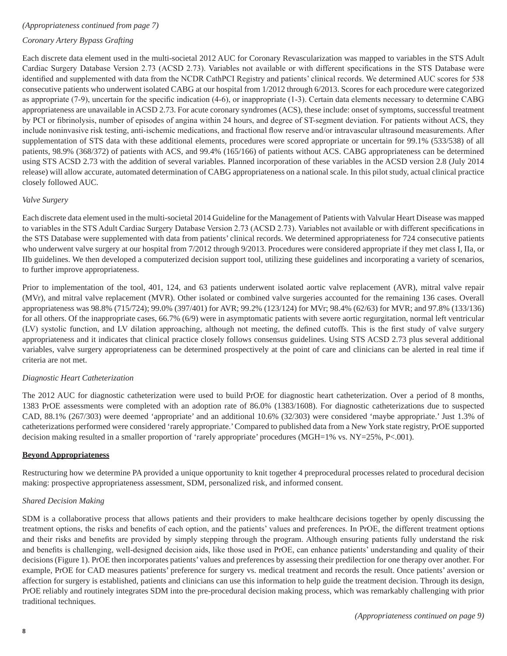#### *(Appropriateness continued from page 7)*

# *Coronary Artery Bypass Grafting*

Each discrete data element used in the multi-societal 2012 AUC for Coronary Revascularization was mapped to variables in the STS Adult Cardiac Surgery Database Version 2.73 (ACSD 2.73). Variables not available or with different specifications in the STS Database were identified and supplemented with data from the NCDR CathPCI Registry and patients' clinical records. We determined AUC scores for 538 consecutive patients who underwent isolated CABG at our hospital from 1/2012 through 6/2013. Scores for each procedure were categorized as appropriate (7-9), uncertain for the specific indication (4-6), or inappropriate (1-3). Certain data elements necessary to determine CABG appropriateness are unavailable in ACSD 2.73. For acute coronary syndromes (ACS), these include: onset of symptoms, successful treatment by PCI or fibrinolysis, number of episodes of angina within 24 hours, and degree of ST-segment deviation. For patients without ACS, they include noninvasive risk testing, anti-ischemic medications, and fractional flow reserve and/or intravascular ultrasound measurements. After supplementation of STS data with these additional elements, procedures were scored appropriate or uncertain for 99.1% (533/538) of all patients, 98.9% (368/372) of patients with ACS, and 99.4% (165/166) of patients without ACS. CABG appropriateness can be determined using STS ACSD 2.73 with the addition of several variables. Planned incorporation of these variables in the ACSD version 2.8 (July 2014 release) will allow accurate, automated determination of CABG appropriateness on a national scale. In this pilot study, actual clinical practice closely followed AUC.

#### *Valve Surgery*

Each discrete data element used in the multi-societal 2014 Guideline for the Management of Patients with Valvular Heart Disease was mapped to variables in the STS Adult Cardiac Surgery Database Version 2.73 (ACSD 2.73). Variables not available or with different specifications in the STS Database were supplemented with data from patients' clinical records. We determined appropriateness for 724 consecutive patients who underwent valve surgery at our hospital from 7/2012 through 9/2013. Procedures were considered appropriate if they met class I, IIa, or IIb guidelines. We then developed a computerized decision support tool, utilizing these guidelines and incorporating a variety of scenarios, to further improve appropriateness.

Prior to implementation of the tool, 401, 124, and 63 patients underwent isolated aortic valve replacement (AVR), mitral valve repair (MVr), and mitral valve replacement (MVR). Other isolated or combined valve surgeries accounted for the remaining 136 cases. Overall appropriateness was 98.8% (715/724); 99.0% (397/401) for AVR; 99.2% (123/124) for MVr; 98.4% (62/63) for MVR; and 97.8% (133/136) for all others. Of the inappropriate cases, 66.7% (6/9) were in asymptomatic patients with severe aortic regurgitation, normal left ventricular (LV) systolic function, and LV dilation approaching, although not meeting, the defined cutoffs. This is the first study of valve surgery appropriateness and it indicates that clinical practice closely follows consensus guidelines. Using STS ACSD 2.73 plus several additional variables, valve surgery appropriateness can be determined prospectively at the point of care and clinicians can be alerted in real time if criteria are not met.

## *Diagnostic Heart Catheterization*

The 2012 AUC for diagnostic catheterization were used to build PrOE for diagnostic heart catheterization. Over a period of 8 months, 1383 PrOE assessments were completed with an adoption rate of 86.0% (1383/1608). For diagnostic catheterizations due to suspected CAD, 88.1% (267/303) were deemed 'appropriate' and an additional 10.6% (32/303) were considered 'maybe appropriate.' Just 1.3% of catheterizations performed were considered 'rarely appropriate.' Compared to published data from a New York state registry, PrOE supported decision making resulted in a smaller proportion of 'rarely appropriate' procedures (MGH=1% vs. NY=25%, P<.001).

#### **Beyond Appropriateness**

Restructuring how we determine PA provided a unique opportunity to knit together 4 preprocedural processes related to procedural decision making: prospective appropriateness assessment, SDM, personalized risk, and informed consent.

#### *Shared Decision Making*

SDM is a collaborative process that allows patients and their providers to make healthcare decisions together by openly discussing the treatment options, the risks and benefits of each option, and the patients' values and preferences. In PrOE, the different treatment options and their risks and benefits are provided by simply stepping through the program. Although ensuring patients fully understand the risk and benefits is challenging, well-designed decision aids, like those used in PrOE, can enhance patients' understanding and quality of their decisions (Figure 1). PrOE then incorporates patients' values and preferences by assessing their predilection for one therapy over another. For example, PrOE for CAD measures patients' preference for surgery vs. medical treatment and records the result. Once patients' aversion or affection for surgery is established, patients and clinicians can use this information to help guide the treatment decision. Through its design, PrOE reliably and routinely integrates SDM into the pre-procedural decision making process, which was remarkably challenging with prior traditional techniques.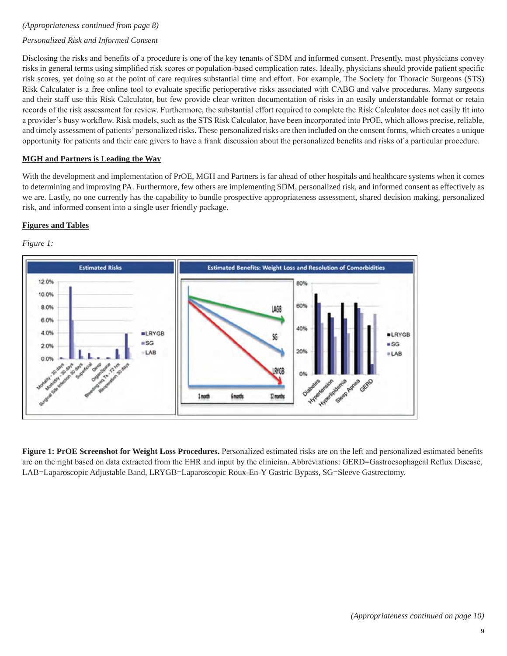#### *(Appropriateness continued from page 8)*

## *Personalized Risk and Informed Consent*

Disclosing the risks and benefits of a procedure is one of the key tenants of SDM and informed consent. Presently, most physicians convey risks in general terms using simplified risk scores or population-based complication rates. Ideally, physicians should provide patient specific risk scores, yet doing so at the point of care requires substantial time and effort. For example, The Society for Thoracic Surgeons (STS) Risk Calculator is a free online tool to evaluate specific perioperative risks associated with CABG and valve procedures. Many surgeons and their staff use this Risk Calculator, but few provide clear written documentation of risks in an easily understandable format or retain records of the risk assessment for review. Furthermore, the substantial effort required to complete the Risk Calculator does not easily fit into a provider's busy workflow. Risk models, such as the STS Risk Calculator, have been incorporated into PrOE, which allows precise, reliable, and timely assessment of patients' personalized risks. These personalized risks are then included on the consent forms, which creates a unique opportunity for patients and their care givers to have a frank discussion about the personalized benefits and risks of a particular procedure.

#### **MGH and Partners is Leading the Way**

With the development and implementation of PrOE, MGH and Partners is far ahead of other hospitals and healthcare systems when it comes to determining and improving PA. Furthermore, few others are implementing SDM, personalized risk, and informed consent as effectively as we are. Lastly, no one currently has the capability to bundle prospective appropriateness assessment, shared decision making, personalized risk, and informed consent into a single user friendly package.

#### **Figures and Tables**

#### *Figure 1:*



**Figure 1: PrOE Screenshot for Weight Loss Procedures.** Personalized estimated risks are on the left and personalized estimated benefits are on the right based on data extracted from the EHR and input by the clinician. Abbreviations: GERD=Gastroesophageal Reflux Disease, LAB=Laparoscopic Adjustable Band, LRYGB=Laparoscopic Roux-En-Y Gastric Bypass, SG=Sleeve Gastrectomy.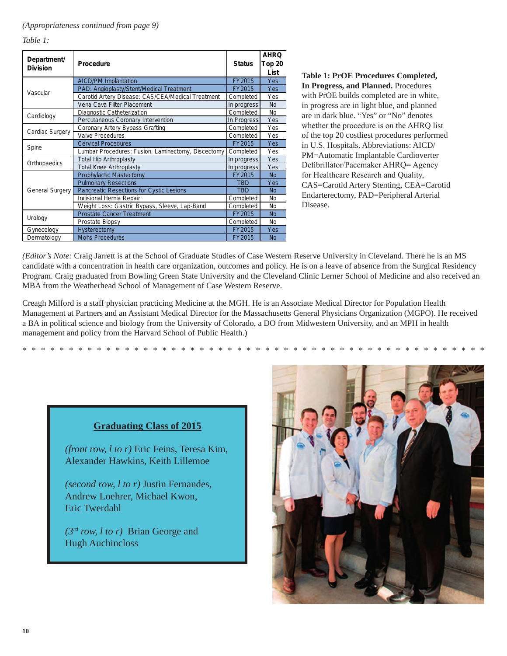*Table 1:*

| Department/<br><b>Division</b> | <b>Procedure</b>                                   | <b>Status</b> | <b>AHRQ</b><br>Top 20<br>List |
|--------------------------------|----------------------------------------------------|---------------|-------------------------------|
| Vascular                       | <b>AICD/PM Implantation</b>                        | FY2015        | Yes                           |
|                                | PAD: Angioplasty/Stent/Medical Treatment           | FY2015        | Yes                           |
|                                | Carotid Artery Disease: CAS/CEA/Medical Treatment  | Completed     | Yes                           |
|                                | Vena Cava Filter Placement                         | In progress   | <b>No</b>                     |
| Cardiology                     | Diagnostic Catheterization                         | Completed     | <b>No</b>                     |
|                                | Percutaneous Coronary Intervention                 | In Progress   | Yes                           |
| Cardiac Surgery                | Coronary Artery Bypass Grafting                    | Completed     | Yes                           |
|                                | <b>Valve Procedures</b>                            | Completed     | Yes                           |
| Spine                          | <b>Cervical Procedures</b>                         | FY2015        | <b>Yes</b>                    |
|                                | Lumbar Procedures: Fusion, Laminectomy, Discectomy | Completed     | Yes                           |
| Orthopaedics                   | <b>Total Hip Arthroplasty</b>                      | In progress   | Yes                           |
|                                | <b>Total Knee Arthroplasty</b>                     | In progress   | Yes                           |
| General Surgery                | <b>Prophylactic Mastectomy</b>                     | FY2015        | <b>No</b>                     |
|                                | <b>Pulmonary Resections</b>                        | TBD           | Yes                           |
|                                | Pancreatic Resections for Cystic Lesions           | TRD           | No                            |
|                                | Incisional Hernia Repair                           | Completed     | <b>No</b>                     |
|                                | Weight Loss: Gastric Bypass, Sleeve, Lap-Band      | Completed     | No                            |
| Urology                        | <b>Prostate Cancer Treatment</b>                   | FY2015        | <b>No</b>                     |
|                                | Prostate Biopsy                                    | Completed     | No                            |
| Gynecology                     | <b>Hysterectomy</b>                                | FY2015        | Yes                           |
| Dermatology                    | <b>Mohs Procedures</b>                             | FY2015        | <b>No</b>                     |

**Table 1: PrOE Procedures Completed, In Progress, and Planned.** Procedures with PrOE builds completed are in white, in progress are in light blue, and planned are in dark blue. "Yes" or "No" denotes whether the procedure is on the AHRQ list of the top 20 costliest procedures performed in U.S. Hospitals. Abbreviations: AICD/ PM=Automatic Implantable Cardioverter Defibrillator/Pacemaker AHRQ= Agency for Healthcare Research and Quality, CAS=Carotid Artery Stenting, CEA=Carotid Endarterectomy, PAD=Peripheral Arterial Disease.

*(Editor's Note:* Craig Jarrett is at the School of Graduate Studies of Case Western Reserve University in Cleveland. There he is an MS candidate with a concentration in health care organization, outcomes and policy. He is on a leave of absence from the Surgical Residency Program. Craig graduated from Bowling Green State University and the Cleveland Clinic Lerner School of Medicine and also received an MBA from the Weatherhead School of Management of Case Western Reserve.

Creagh Milford is a staff physician practicing Medicine at the MGH. He is an Associate Medical Director for Population Health Management at Partners and an Assistant Medical Director for the Massachusetts General Physicians Organization (MGPO). He received a BA in political science and biology from the University of Colorado, a DO from Midwestern University, and an MPH in health management and policy from the Harvard School of Public Health.)

\*\*\*\*\*\*\*\*\*\*\*\*\*\*\*\*\*\*\*\*\*\*\*\*\*\*\*\*\*\*\*\*\*\*\*\*\*\*\*\*\*\*\*\*\*\*\*\*\*\*

# **Graduating Class of 2015**

*(front row, l to r)* Eric Feins, Teresa Kim, Alexander Hawkins, Keith Lillemoe

*(second row, l to r)* Justin Fernandes, Andrew Loehrer, Michael Kwon, Eric Twerdahl

*(3rd row, l to r)* Brian George and Hugh Auchincloss